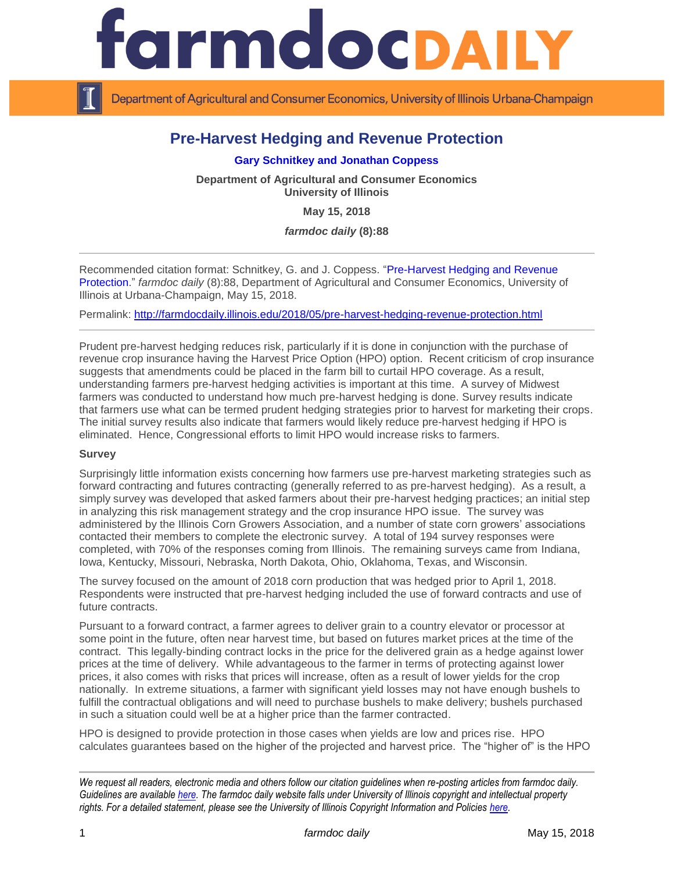

Department of Agricultural and Consumer Economics, University of Illinois Urbana-Champaign

# **Pre-Harvest Hedging and Revenue Protection**

## **[Gary Schnitkey](http://farmdoc.illinois.edu/schnitkey) and [Jonathan Coppess](http://farmdoc.illinois.edu/coppess/)**

**Department of Agricultural and Consumer Economics University of Illinois**

**May 15, 2018**

*farmdoc daily* **(8):88**

Recommended citation format: Schnitkey, G. and J. Coppess. ["Pre-Harvest Hedging and Revenue](http://farmdocdaily.illinois.edu/2018/05/pre-harvest-hedging-revenue-protection.html)  [Protection.](http://farmdocdaily.illinois.edu/2018/05/pre-harvest-hedging-revenue-protection.html)" *farmdoc daily* (8):88, Department of Agricultural and Consumer Economics, University of Illinois at Urbana-Champaign, May 15, 2018.

Permalink: <http://farmdocdaily.illinois.edu/2018/05/pre-harvest-hedging-revenue-protection.html>

Prudent pre-harvest hedging reduces risk, particularly if it is done in conjunction with the purchase of revenue crop insurance having the Harvest Price Option (HPO) option. Recent criticism of crop insurance suggests that amendments could be placed in the farm bill to curtail HPO coverage. As a result, understanding farmers pre-harvest hedging activities is important at this time. A survey of Midwest farmers was conducted to understand how much pre-harvest hedging is done. Survey results indicate that farmers use what can be termed prudent hedging strategies prior to harvest for marketing their crops. The initial survey results also indicate that farmers would likely reduce pre-harvest hedging if HPO is eliminated. Hence, Congressional efforts to limit HPO would increase risks to farmers.

## **Survey**

Surprisingly little information exists concerning how farmers use pre-harvest marketing strategies such as forward contracting and futures contracting (generally referred to as pre-harvest hedging). As a result, a simply survey was developed that asked farmers about their pre-harvest hedging practices; an initial step in analyzing this risk management strategy and the crop insurance HPO issue. The survey was administered by the Illinois Corn Growers Association, and a number of state corn growers' associations contacted their members to complete the electronic survey. A total of 194 survey responses were completed, with 70% of the responses coming from Illinois. The remaining surveys came from Indiana, Iowa, Kentucky, Missouri, Nebraska, North Dakota, Ohio, Oklahoma, Texas, and Wisconsin.

The survey focused on the amount of 2018 corn production that was hedged prior to April 1, 2018. Respondents were instructed that pre-harvest hedging included the use of forward contracts and use of future contracts.

Pursuant to a forward contract, a farmer agrees to deliver grain to a country elevator or processor at some point in the future, often near harvest time, but based on futures market prices at the time of the contract. This legally-binding contract locks in the price for the delivered grain as a hedge against lower prices at the time of delivery. While advantageous to the farmer in terms of protecting against lower prices, it also comes with risks that prices will increase, often as a result of lower yields for the crop nationally. In extreme situations, a farmer with significant yield losses may not have enough bushels to fulfill the contractual obligations and will need to purchase bushels to make delivery; bushels purchased in such a situation could well be at a higher price than the farmer contracted.

HPO is designed to provide protection in those cases when yields are low and prices rise. HPO calculates guarantees based on the higher of the projected and harvest price. The "higher of" is the HPO

*We request all readers, electronic media and others follow our citation guidelines when re-posting articles from farmdoc daily. Guidelines are available [here.](http://farmdocdaily.illinois.edu/citationguide.html) The farmdoc daily website falls under University of Illinois copyright and intellectual property rights. For a detailed statement, please see the University of Illinois Copyright Information and Policies [here.](http://www.cio.illinois.edu/policies/copyright/)*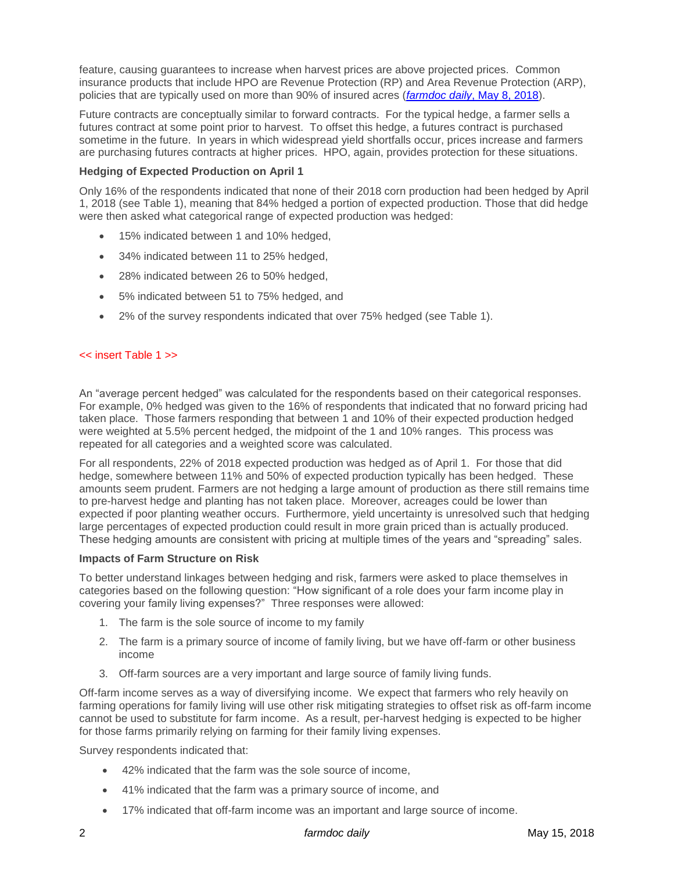feature, causing guarantees to increase when harvest prices are above projected prices. Common insurance products that include HPO are Revenue Protection (RP) and Area Revenue Protection (ARP), policies that are typically used on more than 90% of insured acres (*farmdoc daily*[, May 8, 2018\)](http://farmdocdaily.illinois.edu/2018/05/overwhelming-use-of-harvest-price-option.html).

Future contracts are conceptually similar to forward contracts. For the typical hedge, a farmer sells a futures contract at some point prior to harvest. To offset this hedge, a futures contract is purchased sometime in the future. In years in which widespread yield shortfalls occur, prices increase and farmers are purchasing futures contracts at higher prices. HPO, again, provides protection for these situations.

## **Hedging of Expected Production on April 1**

Only 16% of the respondents indicated that none of their 2018 corn production had been hedged by April 1, 2018 (see Table 1), meaning that 84% hedged a portion of expected production. Those that did hedge were then asked what categorical range of expected production was hedged:

- 15% indicated between 1 and 10% hedged,
- 34% indicated between 11 to 25% hedged,
- 28% indicated between 26 to 50% hedged,
- 5% indicated between 51 to 75% hedged, and
- 2% of the survey respondents indicated that over 75% hedged (see Table 1).

### << insert Table 1 >>

An "average percent hedged" was calculated for the respondents based on their categorical responses. For example, 0% hedged was given to the 16% of respondents that indicated that no forward pricing had taken place. Those farmers responding that between 1 and 10% of their expected production hedged were weighted at 5.5% percent hedged, the midpoint of the 1 and 10% ranges. This process was repeated for all categories and a weighted score was calculated.

For all respondents, 22% of 2018 expected production was hedged as of April 1. For those that did hedge, somewhere between 11% and 50% of expected production typically has been hedged. These amounts seem prudent. Farmers are not hedging a large amount of production as there still remains time to pre-harvest hedge and planting has not taken place. Moreover, acreages could be lower than expected if poor planting weather occurs. Furthermore, yield uncertainty is unresolved such that hedging large percentages of expected production could result in more grain priced than is actually produced. These hedging amounts are consistent with pricing at multiple times of the years and "spreading" sales.

### **Impacts of Farm Structure on Risk**

To better understand linkages between hedging and risk, farmers were asked to place themselves in categories based on the following question: "How significant of a role does your farm income play in covering your family living expenses?" Three responses were allowed:

- 1. The farm is the sole source of income to my family
- 2. The farm is a primary source of income of family living, but we have off-farm or other business income
- 3. Off-farm sources are a very important and large source of family living funds.

Off-farm income serves as a way of diversifying income. We expect that farmers who rely heavily on farming operations for family living will use other risk mitigating strategies to offset risk as off-farm income cannot be used to substitute for farm income. As a result, per-harvest hedging is expected to be higher for those farms primarily relying on farming for their family living expenses.

Survey respondents indicated that:

- 42% indicated that the farm was the sole source of income,
- 41% indicated that the farm was a primary source of income, and
- 17% indicated that off-farm income was an important and large source of income.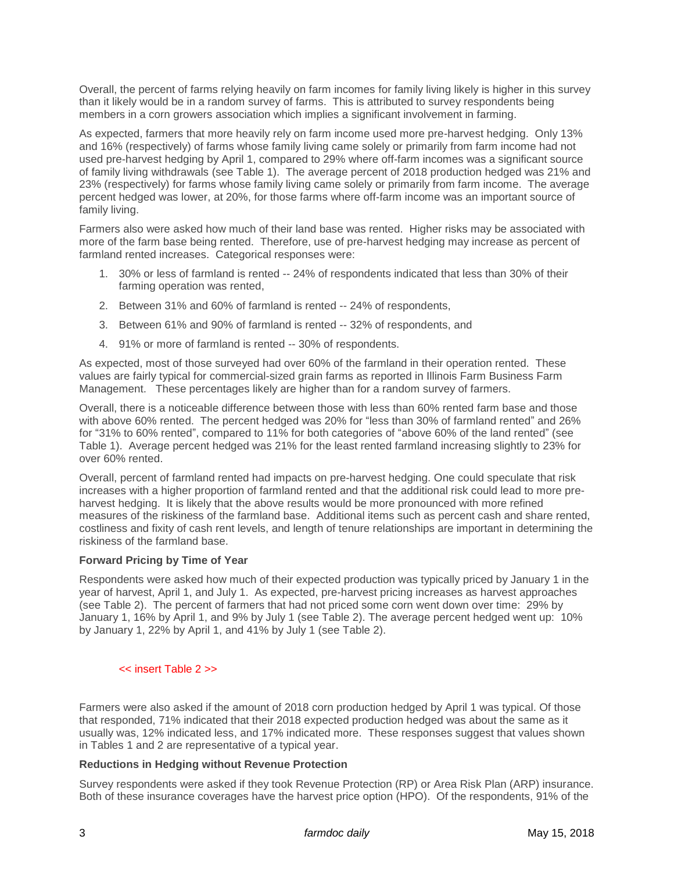Overall, the percent of farms relying heavily on farm incomes for family living likely is higher in this survey than it likely would be in a random survey of farms. This is attributed to survey respondents being members in a corn growers association which implies a significant involvement in farming.

As expected, farmers that more heavily rely on farm income used more pre-harvest hedging. Only 13% and 16% (respectively) of farms whose family living came solely or primarily from farm income had not used pre-harvest hedging by April 1, compared to 29% where off-farm incomes was a significant source of family living withdrawals (see Table 1). The average percent of 2018 production hedged was 21% and 23% (respectively) for farms whose family living came solely or primarily from farm income. The average percent hedged was lower, at 20%, for those farms where off-farm income was an important source of family living.

Farmers also were asked how much of their land base was rented. Higher risks may be associated with more of the farm base being rented. Therefore, use of pre-harvest hedging may increase as percent of farmland rented increases. Categorical responses were:

- 1. 30% or less of farmland is rented -- 24% of respondents indicated that less than 30% of their farming operation was rented,
- 2. Between 31% and 60% of farmland is rented -- 24% of respondents,
- 3. Between 61% and 90% of farmland is rented -- 32% of respondents, and
- 4. 91% or more of farmland is rented -- 30% of respondents.

As expected, most of those surveyed had over 60% of the farmland in their operation rented. These values are fairly typical for commercial-sized grain farms as reported in Illinois Farm Business Farm Management. These percentages likely are higher than for a random survey of farmers.

Overall, there is a noticeable difference between those with less than 60% rented farm base and those with above 60% rented. The percent hedged was 20% for "less than 30% of farmland rented" and 26% for "31% to 60% rented", compared to 11% for both categories of "above 60% of the land rented" (see Table 1). Average percent hedged was 21% for the least rented farmland increasing slightly to 23% for over 60% rented.

Overall, percent of farmland rented had impacts on pre-harvest hedging. One could speculate that risk increases with a higher proportion of farmland rented and that the additional risk could lead to more preharvest hedging. It is likely that the above results would be more pronounced with more refined measures of the riskiness of the farmland base. Additional items such as percent cash and share rented, costliness and fixity of cash rent levels, and length of tenure relationships are important in determining the riskiness of the farmland base.

### **Forward Pricing by Time of Year**

Respondents were asked how much of their expected production was typically priced by January 1 in the year of harvest, April 1, and July 1. As expected, pre-harvest pricing increases as harvest approaches (see Table 2). The percent of farmers that had not priced some corn went down over time: 29% by January 1, 16% by April 1, and 9% by July 1 (see Table 2). The average percent hedged went up: 10% by January 1, 22% by April 1, and 41% by July 1 (see Table 2).

#### << insert Table 2 >>

Farmers were also asked if the amount of 2018 corn production hedged by April 1 was typical. Of those that responded, 71% indicated that their 2018 expected production hedged was about the same as it usually was, 12% indicated less, and 17% indicated more. These responses suggest that values shown in Tables 1 and 2 are representative of a typical year.

#### **Reductions in Hedging without Revenue Protection**

Survey respondents were asked if they took Revenue Protection (RP) or Area Risk Plan (ARP) insurance. Both of these insurance coverages have the harvest price option (HPO). Of the respondents, 91% of the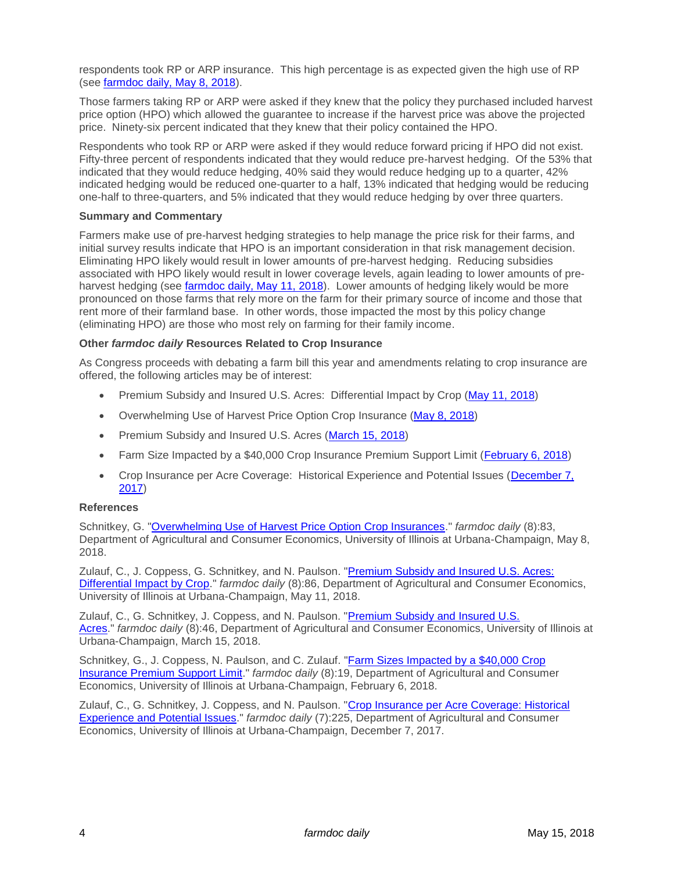respondents took RP or ARP insurance. This high percentage is as expected given the high use of RP (see [farmdoc daily, May 8, 2018\)](http://farmdocdaily.illinois.edu/2018/05/overwhelming-use-of-harvest-price-option.html).

Those farmers taking RP or ARP were asked if they knew that the policy they purchased included harvest price option (HPO) which allowed the guarantee to increase if the harvest price was above the projected price. Ninety-six percent indicated that they knew that their policy contained the HPO.

Respondents who took RP or ARP were asked if they would reduce forward pricing if HPO did not exist. Fifty-three percent of respondents indicated that they would reduce pre-harvest hedging. Of the 53% that indicated that they would reduce hedging, 40% said they would reduce hedging up to a quarter, 42% indicated hedging would be reduced one-quarter to a half, 13% indicated that hedging would be reducing one-half to three-quarters, and 5% indicated that they would reduce hedging by over three quarters.

### **Summary and Commentary**

Farmers make use of pre-harvest hedging strategies to help manage the price risk for their farms, and initial survey results indicate that HPO is an important consideration in that risk management decision. Eliminating HPO likely would result in lower amounts of pre-harvest hedging. Reducing subsidies associated with HPO likely would result in lower coverage levels, again leading to lower amounts of preharvest hedging (see [farmdoc daily, May 11, 2018\)](http://farmdocdaily.illinois.edu/2018/05/premium-subsidy-and-insured-us-acres.html). Lower amounts of hedging likely would be more pronounced on those farms that rely more on the farm for their primary source of income and those that rent more of their farmland base. In other words, those impacted the most by this policy change (eliminating HPO) are those who most rely on farming for their family income.

### **Other** *farmdoc daily* **Resources Related to Crop Insurance**

As Congress proceeds with debating a farm bill this year and amendments relating to crop insurance are offered, the following articles may be of interest:

- Premium Subsidy and Insured U.S. Acres: Differential Impact by Crop [\(May 11, 2018\)](http://farmdocdaily.illinois.edu/2018/05/premium-subsidy-and-insured-us-acres.html)
- Overwhelming Use of Harvest Price Option Crop Insurance [\(May 8, 2018\)](http://farmdocdaily.illinois.edu/2018/05/overwhelming-use-of-harvest-price-option.html)
- Premium Subsidy and Insured U.S. Acres [\(March 15, 2018\)](http://farmdocdaily.illinois.edu/2018/03/premium-subsidy-and-insured-us-acres.html)
- Farm Size Impacted by a \$40,000 Crop Insurance Premium Support Limit [\(February 6, 2018\)](http://farmdocdaily.illinois.edu/2018/02/farm-sizes-impacted-by-crop-insurance-premium.html)
- Crop Insurance per Acre Coverage: Historical Experience and Potential Issues [\(December 7,](http://farmdocdaily.illinois.edu/2017/12/crop-insurance-per-acre-coverage-potential-issue.html)  [2017\)](http://farmdocdaily.illinois.edu/2017/12/crop-insurance-per-acre-coverage-potential-issue.html)

## **References**

Schnitkey, G. ["Overwhelming Use of Harvest Price Option Crop Insurances.](http://farmdocdaily.illinois.edu/2018/05/overwhelming-use-of-harvest-price-option.html)" *farmdoc daily* (8):83, Department of Agricultural and Consumer Economics, University of Illinois at Urbana-Champaign, May 8, 2018.

Zulauf, C., J. Coppess, G. Schnitkey, and N. Paulson. ["Premium Subsidy and Insured U.S. Acres:](http://farmdocdaily.illinois.edu/2018/05/premium-subsidy-and-insured-us-acres.html)  [Differential Impact by Crop.](http://farmdocdaily.illinois.edu/2018/05/premium-subsidy-and-insured-us-acres.html)" *farmdoc daily* (8):86, Department of Agricultural and Consumer Economics, University of Illinois at Urbana-Champaign, May 11, 2018.

Zulauf, C., G. Schnitkey, J. Coppess, and N. Paulson. ["Premium Subsidy and Insured U.S.](http://farmdocdaily.illinois.edu/2018/03/premium-subsidy-and-insured-us-acres.html)  [Acres.](http://farmdocdaily.illinois.edu/2018/03/premium-subsidy-and-insured-us-acres.html)" *farmdoc daily* (8):46, Department of Agricultural and Consumer Economics, University of Illinois at Urbana-Champaign, March 15, 2018.

Schnitkey, G., J. Coppess, N. Paulson, and C. Zulauf. ["Farm Sizes Impacted by a \\$40,000 Crop](http://farmdocdaily.illinois.edu/2018/02/farm-sizes-impacted-by-crop-insurance-premium.html)  [Insurance Premium Support Limit.](http://farmdocdaily.illinois.edu/2018/02/farm-sizes-impacted-by-crop-insurance-premium.html)" *farmdoc daily* (8):19, Department of Agricultural and Consumer Economics, University of Illinois at Urbana-Champaign, February 6, 2018.

Zulauf, C., G. Schnitkey, J. Coppess, and N. Paulson. ["Crop Insurance per Acre Coverage: Historical](http://farmdocdaily.illinois.edu/2017/12/crop-insurance-per-acre-coverage-potential-issue.html)  [Experience and Potential Issues.](http://farmdocdaily.illinois.edu/2017/12/crop-insurance-per-acre-coverage-potential-issue.html)" *farmdoc daily* (7):225, Department of Agricultural and Consumer Economics, University of Illinois at Urbana-Champaign, December 7, 2017.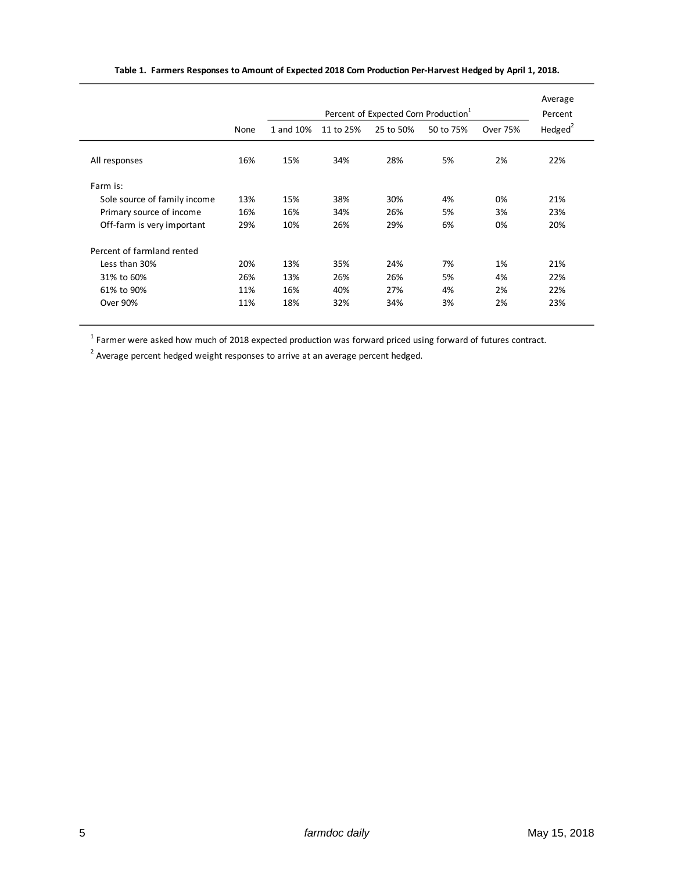|                              |      | Average<br>Percent |           |           |           |                 |            |
|------------------------------|------|--------------------|-----------|-----------|-----------|-----------------|------------|
|                              | None | 1 and 10%          | 11 to 25% | 25 to 50% | 50 to 75% | <b>Over 75%</b> | Hedged $2$ |
| All responses                | 16%  | 15%                | 34%       | 28%       | 5%        | 2%              | 22%        |
| Farm is:                     |      |                    |           |           |           |                 |            |
| Sole source of family income | 13%  | 15%                | 38%       | 30%       | 4%        | 0%              | 21%        |
| Primary source of income     | 16%  | 16%                | 34%       | 26%       | 5%        | 3%              | 23%        |
| Off-farm is very important   | 29%  | 10%                | 26%       | 29%       | 6%        | 0%              | 20%        |
| Percent of farmland rented   |      |                    |           |           |           |                 |            |
| Less than 30%                | 20%  | 13%                | 35%       | 24%       | 7%        | 1%              | 21%        |
| 31% to 60%                   | 26%  | 13%                | 26%       | 26%       | 5%        | 4%              | 22%        |
| 61% to 90%                   | 11%  | 16%                | 40%       | 27%       | 4%        | 2%              | 22%        |
| Over 90%                     | 11%  | 18%                | 32%       | 34%       | 3%        | 2%              | 23%        |

### Table 1. Farmers Responses to Amount of Expected 2018 Corn Production Per-Harvest Hedged by April 1, 2018.

<sup>1</sup> Farmer were asked how much of 2018 expected production was forward priced using forward of futures contract.

 $2$  Average percent hedged weight responses to arrive at an average percent hedged.